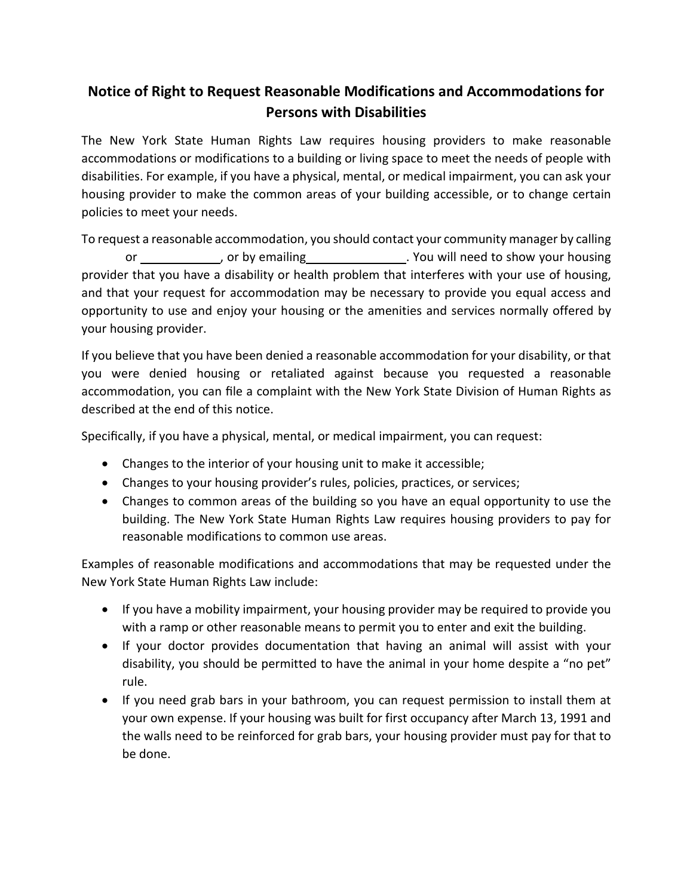## **Notice of Right to Request Reasonable Modifications and Accommodations for Persons with Disabilities**

The New York State Human Rights Law requires housing providers to make reasonable accommodations or modifications to a building or living space to meet the needs of people with disabilities. For example, if you have a physical, mental, or medical impairment, you can ask your housing provider to make the common areas of your building accessible, or to change certain policies to meet your needs.

To request a reasonable accommodation, you should contact your community manager by calling or \_\_\_\_\_\_\_\_\_\_\_\_\_, or by emailing \_\_\_\_\_\_\_\_\_\_\_\_\_\_\_. You will need to show your housing provider that you have a disability or health problem that interferes with your use of housing, and that your request for accommodation may be necessary to provide you equal access and opportunity to use and enjoy your housing or the amenities and services normally offered by your housing provider.

If you believe that you have been denied a reasonable accommodation for your disability, or that you were denied housing or retaliated against because you requested a reasonable accommodation, you can file a complaint with the New York State Division of Human Rights as described at the end of this notice.

Specifically, if you have a physical, mental, or medical impairment, you can request:

- Changes to the interior of your housing unit to make it accessible;
- Changes to your housing provider's rules, policies, practices, or services;
- Changes to common areas of the building so you have an equal opportunity to use the building. The New York State Human Rights Law requires housing providers to pay for reasonable modifications to common use areas.

Examples of reasonable modifications and accommodations that may be requested under the New York State Human Rights Law include:

- If you have a mobility impairment, your housing provider may be required to provide you with a ramp or other reasonable means to permit you to enter and exit the building.
- If your doctor provides documentation that having an animal will assist with your disability, you should be permitted to have the animal in your home despite a "no pet" rule.
- If you need grab bars in your bathroom, you can request permission to install them at your own expense. If your housing was built for first occupancy after March 13, 1991 and the walls need to be reinforced for grab bars, your housing provider must pay for that to be done.